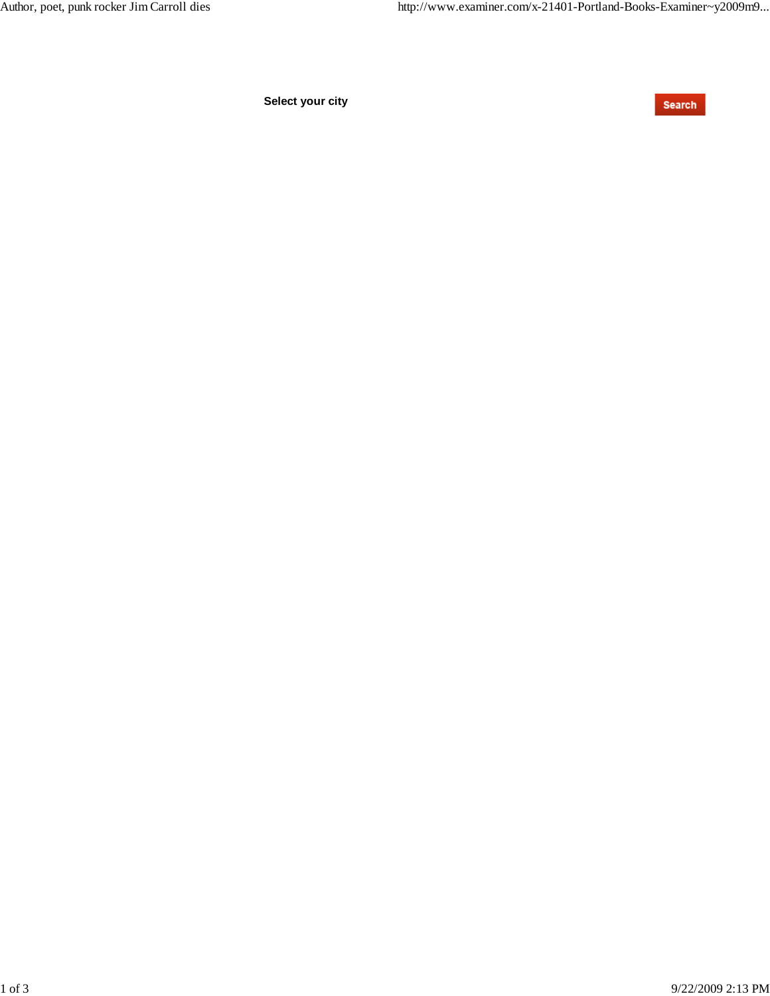**Select your city**

Search